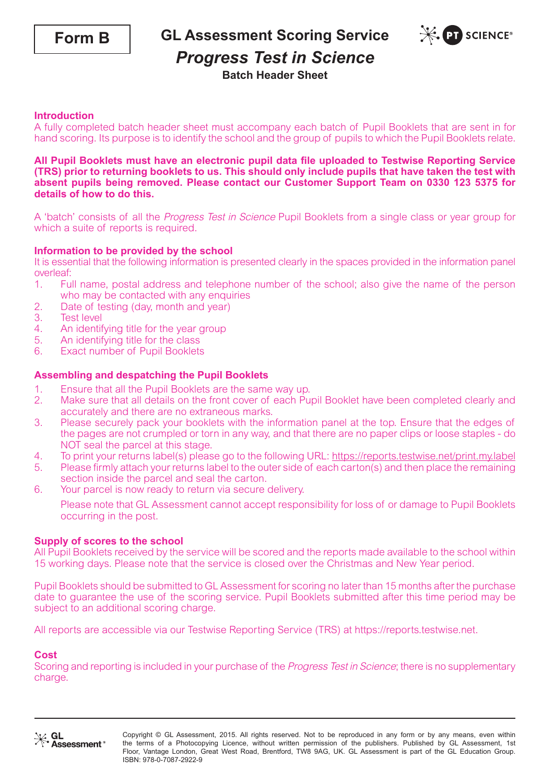

**GL Assessment Scoring Service**



## *Progress Test in Science*

**Batch Header Sheet**

### **Introduction**

A fully completed batch header sheet must accompany each batch of Pupil Booklets that are sent in for hand scoring. Its purpose is to identify the school and the group of pupils to which the Pupil Booklets relate.

#### **All Pupil Booklets must have an electronic pupil data file uploaded to Testwise Reporting Service (TRS) prior to returning booklets to us. This should only include pupils that have taken the test with absent pupils being removed. Please contact our Customer Support Team on 0330 123 5375 for details of how to do this.**

A 'batch' consists of all the Progress Test in Science Pupil Booklets from a single class or year group for which a suite of reports is required.

### **Information to be provided by the school**

It is essential that the following information is presented clearly in the spaces provided in the information panel overleaf:

- 1. Full name, postal address and telephone number of the school; also give the name of the person who may be contacted with any enquiries
- 2. Date of testing (day, month and year)<br>3. Test level
- **Test level**
- 4. An identifying title for the year group<br>5. An identifying title for the class
- An identifying title for the class
- 6. Exact number of Pupil Booklets

#### **Assembling and despatching the Pupil Booklets**

- 
- 1. Ensure that all the Pupil Booklets are the same way up.<br>2. Make sure that all details on the front cover of each Pu 2. Make sure that all details on the front cover of each Pupil Booklet have been completed clearly and accurately and there are no extraneous marks.
- 3. Please securely pack your booklets with the information panel at the top. Ensure that the edges of the pages are not crumpled or torn in any way, and that there are no paper clips or loose staples - do NOT seal the parcel at this stage.
- 4. To print your returns label(s) please go to the following URL: https://reports.testwise.net/print.my.label<br>5. Please firmly attach your returns label to the outer side of each carton(s) and then place the remaining
- 5. Please firmly attach your returns label to the outer side of each carton(s) and then place the remaining section inside the parcel and seal the carton.
- 6. Your parcel is now ready to return via secure delivery.

Please note that GL Assessment cannot accept responsibility for loss of or damage to Pupil Booklets occurring in the post.

#### **Supply of scores to the school**

All Pupil Booklets received by the service will be scored and the reports made available to the school within 15 working days. Please note that the service is closed over the Christmas and New Year period.

Pupil Booklets should be submitted to GL Assessment for scoring no later than 15 months after the purchase date to guarantee the use of the scoring service. Pupil Booklets submitted after this time period may be subject to an additional scoring charge.

All reports are accessible via our Testwise Reporting Service (TRS) at https://reports.testwise.net.

#### **Cost**

Scoring and reporting is included in your purchase of the Progress Test in Science; there is no supplementary charge.